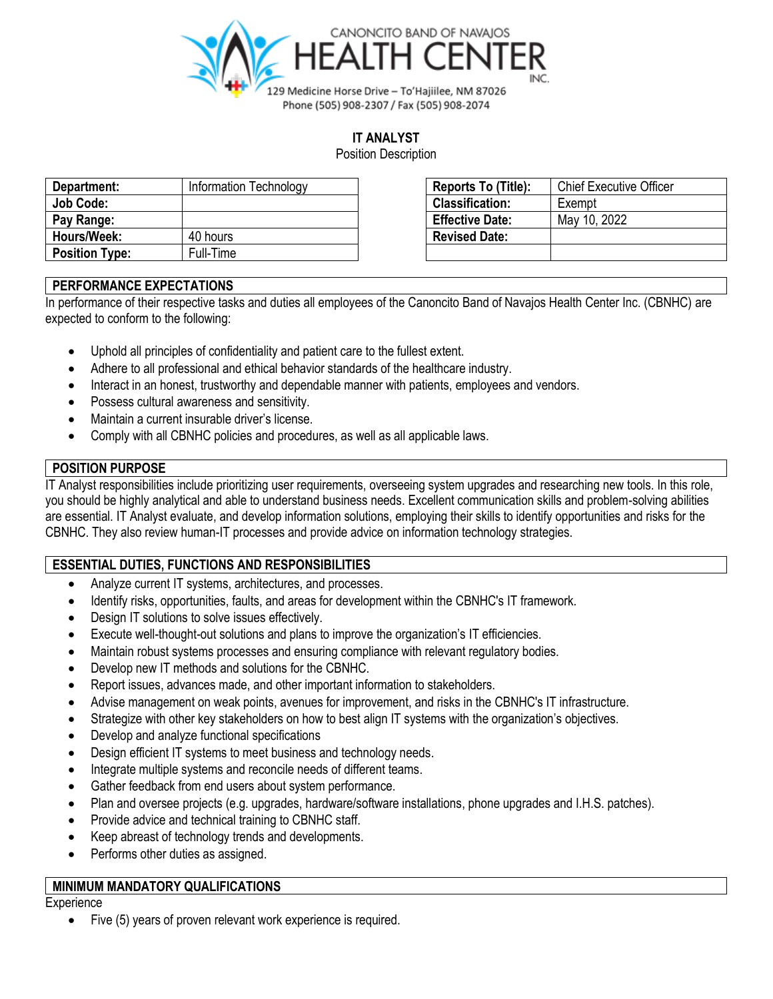

## **IT ANALYST**

Position Description

| Department:           | Information Technology | <b>Reports To (Title):</b> | <b>Chief Executive Officer</b> |
|-----------------------|------------------------|----------------------------|--------------------------------|
| Job Code:             |                        | <b>Classification:</b>     | Exempt                         |
| Pay Range:            |                        | <b>Effective Date:</b>     | May 10, 2022                   |
| Hours/Week:           | 40 hours               | <b>Revised Date:</b>       |                                |
| <b>Position Type:</b> | Full-Time              |                            |                                |

| Reports To (Title):    | <b>Chief Executive Officer</b> |
|------------------------|--------------------------------|
| <b>Classification:</b> | Exempt                         |
| <b>Effective Date:</b> | May 10, 2022                   |
| <b>Revised Date:</b>   |                                |
|                        |                                |

## **PERFORMANCE EXPECTATIONS**

In performance of their respective tasks and duties all employees of the Canoncito Band of Navajos Health Center Inc. (CBNHC) are expected to conform to the following:

- Uphold all principles of confidentiality and patient care to the fullest extent.
- Adhere to all professional and ethical behavior standards of the healthcare industry.
- Interact in an honest, trustworthy and dependable manner with patients, employees and vendors.
- Possess cultural awareness and sensitivity.
- Maintain a current insurable driver's license.
- Comply with all CBNHC policies and procedures, as well as all applicable laws.

## **POSITION PURPOSE**

IT Analyst responsibilities include prioritizing user requirements, overseeing system upgrades and researching new tools. In this role, you should be highly analytical and able to understand business needs. Excellent communication skills and problem-solving abilities are essential. IT Analyst evaluate, and develop information solutions, employing their skills to identify opportunities and risks for the CBNHC. They also review human-IT processes and provide advice on information technology strategies.

# **ESSENTIAL DUTIES, FUNCTIONS AND RESPONSIBILITIES**

- Analyze current IT systems, architectures, and processes.
- Identify risks, opportunities, faults, and areas for development within the CBNHC's IT framework.
- Design IT solutions to solve issues effectively.
- Execute well-thought-out solutions and plans to improve the organization's IT efficiencies.
- Maintain robust systems processes and ensuring compliance with relevant regulatory bodies.
- Develop new IT methods and solutions for the CBNHC.
- Report issues, advances made, and other important information to stakeholders.
- Advise management on weak points, avenues for improvement, and risks in the CBNHC's IT infrastructure.
- Strategize with other key stakeholders on how to best align IT systems with the organization's objectives.
- Develop and analyze functional specifications
- Design efficient IT systems to meet business and technology needs.
- Integrate multiple systems and reconcile needs of different teams.
- Gather feedback from end users about system performance.
- Plan and oversee projects (e.g. upgrades, hardware/software installations, phone upgrades and I.H.S. patches).
- Provide advice and technical training to CBNHC staff.
- Keep abreast of technology trends and developments.
- Performs other duties as assigned.

## **MINIMUM MANDATORY QUALIFICATIONS**

#### **Experience**

• Five (5) years of proven relevant work experience is required.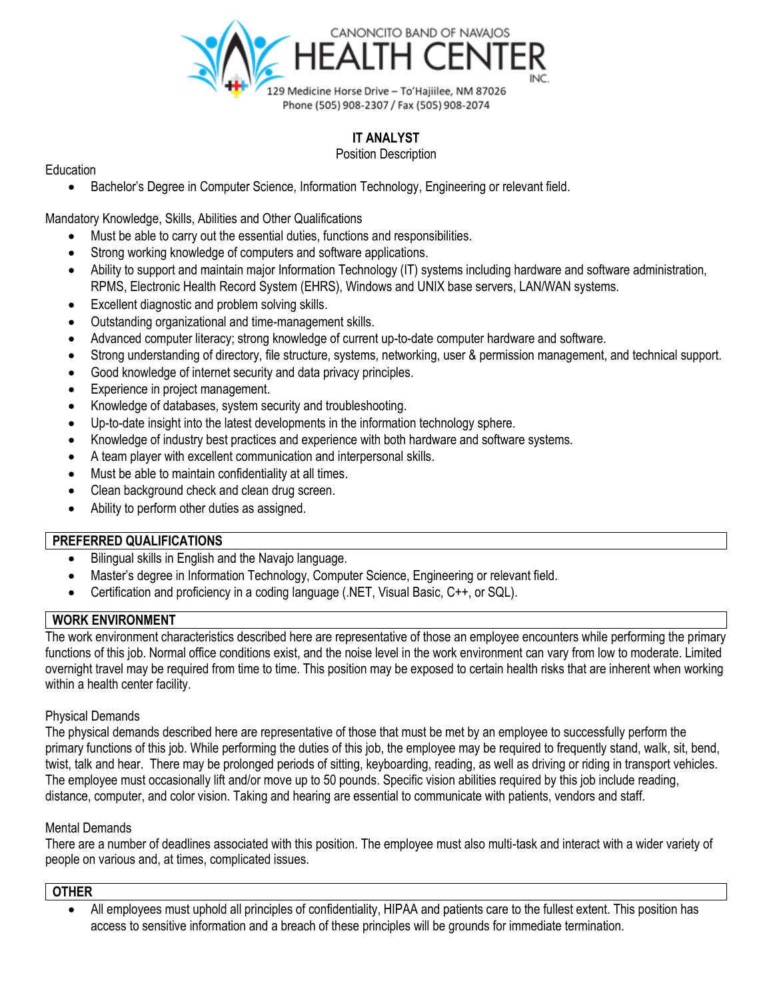

# **IT ANALYST**

#### Position Description

Education

• Bachelor's Degree in Computer Science, Information Technology, Engineering or relevant field.

Mandatory Knowledge, Skills, Abilities and Other Qualifications

- Must be able to carry out the essential duties, functions and responsibilities.
- Strong working knowledge of computers and software applications.
- Ability to support and maintain major Information Technology (IT) systems including hardware and software administration, RPMS, Electronic Health Record System (EHRS), Windows and UNIX base servers, LAN/WAN systems.
- Excellent diagnostic and problem solving skills.
- Outstanding organizational and time-management skills.
- Advanced computer literacy; strong knowledge of current up-to-date computer hardware and software.
- Strong understanding of directory, file structure, systems, networking, user & permission management, and technical support.
- Good knowledge of internet security and data privacy principles.
- Experience in project management.
- Knowledge of databases, system security and troubleshooting.
- Up-to-date insight into the latest developments in the information technology sphere.
- Knowledge of industry best practices and experience with both hardware and software systems.
- A team player with excellent communication and interpersonal skills.
- Must be able to maintain confidentiality at all times.
- Clean background check and clean drug screen.
- Ability to perform other duties as assigned.

## **PREFERRED QUALIFICATIONS**

- Bilingual skills in English and the Navajo language.
- Master's degree in Information Technology, Computer Science, Engineering or relevant field.
- Certification and proficiency in a coding language (.NET, Visual Basic, C++, or SQL).

## **WORK ENVIRONMENT**

The work environment characteristics described here are representative of those an employee encounters while performing the primary functions of this job. Normal office conditions exist, and the noise level in the work environment can vary from low to moderate. Limited overnight travel may be required from time to time. This position may be exposed to certain health risks that are inherent when working within a health center facility.

## Physical Demands

The physical demands described here are representative of those that must be met by an employee to successfully perform the primary functions of this job. While performing the duties of this job, the employee may be required to frequently stand, walk, sit, bend, twist, talk and hear. There may be prolonged periods of sitting, keyboarding, reading, as well as driving or riding in transport vehicles. The employee must occasionally lift and/or move up to 50 pounds. Specific vision abilities required by this job include reading, distance, computer, and color vision. Taking and hearing are essential to communicate with patients, vendors and staff.

## Mental Demands

There are a number of deadlines associated with this position. The employee must also multi-task and interact with a wider variety of people on various and, at times, complicated issues.

## **OTHER**

• All employees must uphold all principles of confidentiality, HIPAA and patients care to the fullest extent. This position has access to sensitive information and a breach of these principles will be grounds for immediate termination.